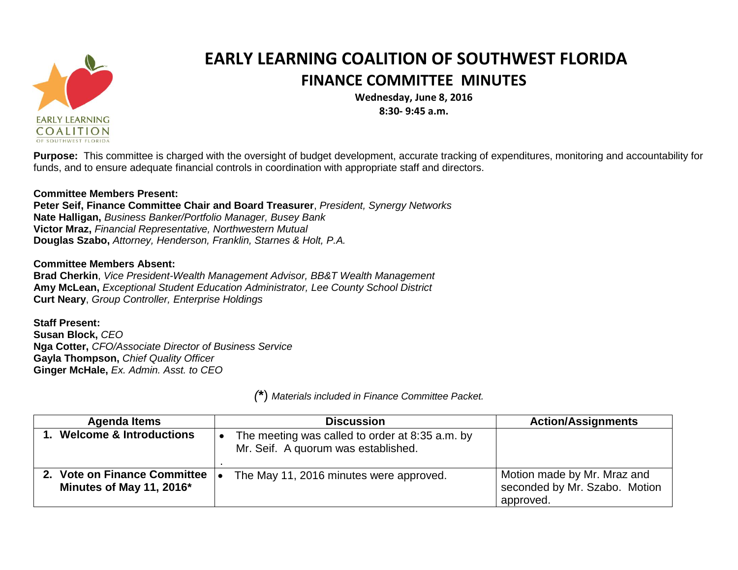

## **EARLY LEARNING COALITION OF SOUTHWEST FLORIDA FINANCE COMMITTEE MINUTES**

**Wednesday, June 8, 2016 8:30- 9:45 a.m.**

**Purpose:** This committee is charged with the oversight of budget development, accurate tracking of expenditures, monitoring and accountability for funds, and to ensure adequate financial controls in coordination with appropriate staff and directors.

## **Committee Members Present:**

**Peter Seif, Finance Committee Chair and Board Treasurer**, *President, Synergy Networks* **Nate Halligan,** *Business Banker/Portfolio Manager, Busey Bank* **Victor Mraz,** *Financial Representative, Northwestern Mutual* **Douglas Szabo,** *Attorney, Henderson, Franklin, Starnes & Holt, P.A.*

## **Committee Members Absent:**

**Brad Cherkin**, *Vice President-Wealth Management Advisor, BB&T Wealth Management* **Amy McLean,** *Exceptional Student Education Administrator, Lee County School District* **Curt Neary**, *Group Controller, Enterprise Holdings*

## **Staff Present:**

**Susan Block,** *CEO* **Nga Cotter,** *CFO/Associate Director of Business Service* **Gayla Thompson,** *Chief Quality Officer* **Ginger McHale,** *Ex. Admin. Asst. to CEO*

*(***\***) *Materials included in Finance Committee Packet.*

| <b>Agenda Items</b>                                         | <b>Discussion</b>                                                                      | <b>Action/Assignments</b>                                                 |
|-------------------------------------------------------------|----------------------------------------------------------------------------------------|---------------------------------------------------------------------------|
| 1. Welcome & Introductions                                  | The meeting was called to order at 8:35 a.m. by<br>Mr. Seif. A quorum was established. |                                                                           |
| 2. Vote on Finance Committee  .<br>Minutes of May 11, 2016* | The May 11, 2016 minutes were approved.                                                | Motion made by Mr. Mraz and<br>seconded by Mr. Szabo. Motion<br>approved. |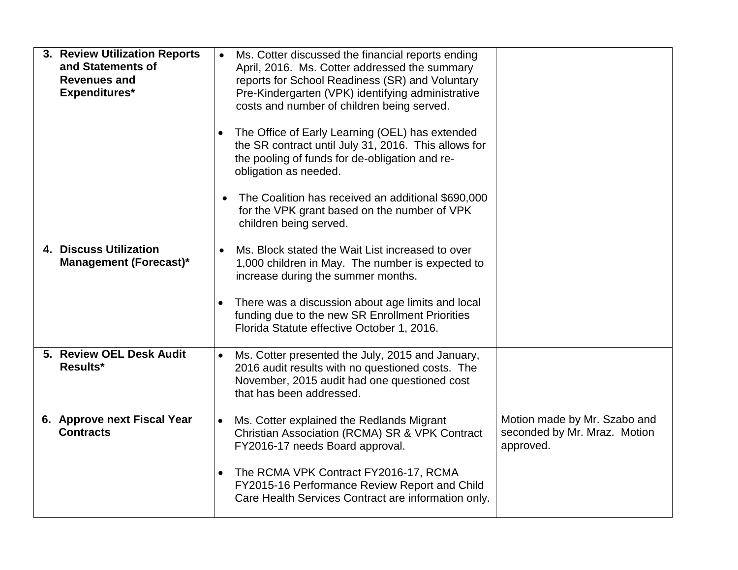| 3. Review Utilization Reports<br>and Statements of<br><b>Revenues and</b><br>Expenditures* | Ms. Cotter discussed the financial reports ending<br>April, 2016. Ms. Cotter addressed the summary<br>reports for School Readiness (SR) and Voluntary<br>Pre-Kindergarten (VPK) identifying administrative<br>costs and number of children being served.<br>The Office of Early Learning (OEL) has extended<br>the SR contract until July 31, 2016. This allows for<br>the pooling of funds for de-obligation and re-<br>obligation as needed.<br>The Coalition has received an additional \$690,000<br>$\bullet$<br>for the VPK grant based on the number of VPK<br>children being served. |                                                                           |
|--------------------------------------------------------------------------------------------|---------------------------------------------------------------------------------------------------------------------------------------------------------------------------------------------------------------------------------------------------------------------------------------------------------------------------------------------------------------------------------------------------------------------------------------------------------------------------------------------------------------------------------------------------------------------------------------------|---------------------------------------------------------------------------|
| 4. Discuss Utilization<br>Management (Forecast)*                                           | Ms. Block stated the Wait List increased to over<br>1,000 children in May. The number is expected to<br>increase during the summer months.<br>There was a discussion about age limits and local<br>funding due to the new SR Enrollment Priorities<br>Florida Statute effective October 1, 2016.                                                                                                                                                                                                                                                                                            |                                                                           |
| 5. Review OEL Desk Audit<br>Results*                                                       | Ms. Cotter presented the July, 2015 and January,<br>$\bullet$<br>2016 audit results with no questioned costs. The<br>November, 2015 audit had one questioned cost<br>that has been addressed.                                                                                                                                                                                                                                                                                                                                                                                               |                                                                           |
| 6. Approve next Fiscal Year<br><b>Contracts</b>                                            | Ms. Cotter explained the Redlands Migrant<br>Christian Association (RCMA) SR & VPK Contract<br>FY2016-17 needs Board approval.<br>The RCMA VPK Contract FY2016-17, RCMA<br>$\bullet$<br>FY2015-16 Performance Review Report and Child<br>Care Health Services Contract are information only.                                                                                                                                                                                                                                                                                                | Motion made by Mr. Szabo and<br>seconded by Mr. Mraz. Motion<br>approved. |